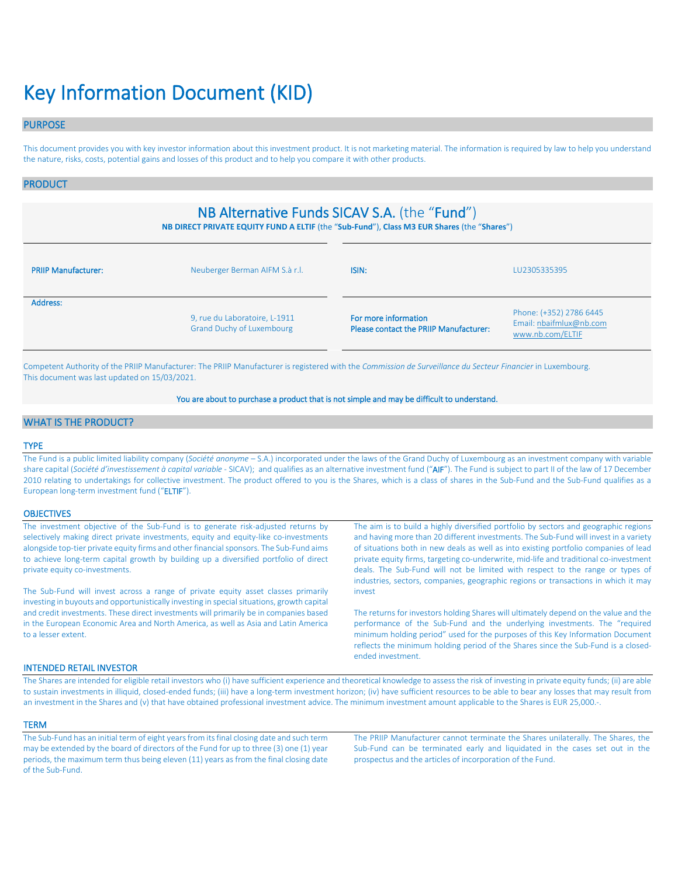# Key Information Document (KID)

# PURPOSE

This document provides you with key investor information about this investment product. It is not marketing material. The information is required by law to help you understand the nature, risks, costs, potential gains and losses of this product and to help you compare it with other products.

# PRODUCT

# NB Alternative Funds SICAV S.A. (the "Fund")

**NB DIRECT PRIVATE EQUITY FUND A ELTIF** (the "**Sub-Fund**"), **Class M3 EUR Shares** (the "**Shares**")

| Neuberger Berman AIFM S.à r.l.<br><b>PRIIP Manufacturer:</b> |                                                                   | ISIN:                                                          | LU2305335395                                                           |
|--------------------------------------------------------------|-------------------------------------------------------------------|----------------------------------------------------------------|------------------------------------------------------------------------|
| Address:                                                     | 9, rue du Laboratoire, L-1911<br><b>Grand Duchy of Luxembourg</b> | For more information<br>Please contact the PRIIP Manufacturer: | Phone: (+352) 2786 6445<br>Email: nbaifmlux@nb.com<br>www.nb.com/ELTIF |

Competent Authority of the PRIIP Manufacturer: The PRIIP Manufacturer is registered with the *Commission de Surveillance du Secteur Financier* in Luxembourg. This document was last updated on 15/03/2021.

### You are about to purchase a product that is not simple and may be difficult to understand.

# WHAT IS THE PRODUCT?

### TYPE

The Fund is a public limited liability company (*Société anonyme* – S.A.) incorporated under the laws of the Grand Duchy of Luxembourg as an investment company with variable share capital (*Société d'investissement à capital variable* - SICAV); and qualifies as an alternative investment fund ("AIF"). The Fund is subject to part II of the law of 17 December 2010 relating to undertakings for collective investment. The product offered to you is the Shares, which is a class of shares in the Sub-Fund and the Sub-Fund qualifies as a European long-term investment fund ("ELTIF").

#### **OBJECTIVES**

| The investment objective of the Sub-Fund is to generate risk-adjusted returns by<br>selectively making direct private investments, equity and equity-like co-investments                           | The aim is to build a highly diversified portfolio by sectors and geographic regions<br>and having more than 20 different investments. The Sub-Fund will invest in a variety                                                                                                                                                                                  |
|----------------------------------------------------------------------------------------------------------------------------------------------------------------------------------------------------|---------------------------------------------------------------------------------------------------------------------------------------------------------------------------------------------------------------------------------------------------------------------------------------------------------------------------------------------------------------|
| alongside top-tier private equity firms and other financial sponsors. The Sub-Fund aims                                                                                                            | of situations both in new deals as well as into existing portfolio companies of lead                                                                                                                                                                                                                                                                          |
| to achieve long-term capital growth by building up a diversified portfolio of direct<br>private equity co-investments.                                                                             | private equity firms, targeting co-underwrite, mid-life and traditional co-investment<br>deals. The Sub-Fund will not be limited with respect to the range or types of                                                                                                                                                                                        |
|                                                                                                                                                                                                    | industries, sectors, companies, geographic regions or transactions in which it may                                                                                                                                                                                                                                                                            |
| The Sub-Fund will invest across a range of private equity asset classes primarily<br>investing in buyouts and opportunistically investing in special situations, growth capital                    | invest                                                                                                                                                                                                                                                                                                                                                        |
| and credit investments. These direct investments will primarily be in companies based<br>in the European Economic Area and North America, as well as Asia and Latin America<br>to a lesser extent. | The returns for investors holding Shares will ultimately depend on the value and the<br>performance of the Sub-Fund and the underlying investments. The "required<br>minimum holding period" used for the purposes of this Key Information Document<br>reflects the minimum holding period of the Shares since the Sub-Fund is a closed-<br>ended investment. |

## INTENDED RETAIL INVESTOR

The Shares are intended for eligible retail investors who (i) have sufficient experience and theoretical knowledge to assess the risk of investing in private equity funds; (ii) are able to sustain investments in illiquid, closed-ended funds; (iii) have a long-term investment horizon; (iv) have sufficient resources to be able to bear any losses that may result from an investment in the Shares and (v) that have obtained professional investment advice. The minimum investment amount applicable to the Shares is EUR 25,000.-.

#### **TERM**

The Sub-Fund has an initial term of eight years from its final closing date and such term may be extended by the board of directors of the Fund for up to three (3) one (1) year periods, the maximum term thus being eleven (11) years as from the final closing date of the Sub-Fund.

The PRIIP Manufacturer cannot terminate the Shares unilaterally. The Shares, the Sub-Fund can be terminated early and liquidated in the cases set out in the prospectus and the articles of incorporation of the Fund.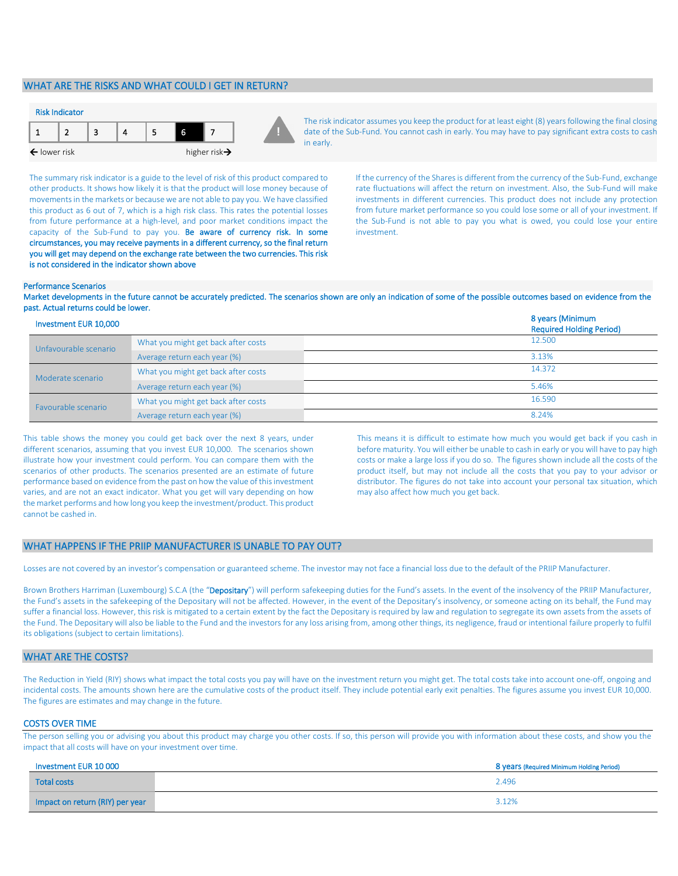# WHAT ARE THE RISKS AND WHAT COULD I GET IN RETURN?



The risk indicator assumes you keep the product for at least eight (8) years following the final closing date of the Sub-Fund. You cannot cash in early. You may have to pay significant extra costs to cash in early.

The summary risk indicator is a guide to the level of risk of this product compared to other products. It shows how likely it is that the product will lose money because of movements in the markets or because we are not able to pay you. We have classified this product as 6 out of 7, which is a high risk class. This rates the potential losses from future performance at a high-level, and poor market conditions impact the capacity of the Sub-Fund to pay you. Be aware of currency risk. In some circumstances, you may receive payments in a different currency, so the final return you will get may depend on the exchange rate between the two currencies. This risk is not considered in the indicator shown above

If the currency of the Shares is different from the currency of the Sub-Fund, exchange rate fluctuations will affect the return on investment. Also, the Sub-Fund will make investments in different currencies. This product does not include any protection from future market performance so you could lose some or all of your investment. If the Sub-Fund is not able to pay you what is owed, you could lose your entire investment.

#### Performance Scenarios

Market developments in the future cannot be accurately predicted. The scenarios shown are only an indication of some of the possible outcomes based on evidence from the past. Actual returns could be lower.

| Investment EUR 10,000 |                                     | 8 years (Minimum<br><b>Required Holding Period)</b> |
|-----------------------|-------------------------------------|-----------------------------------------------------|
| Unfavourable scenario | What you might get back after costs | 12.500                                              |
|                       | Average return each year (%)        | 3.13%                                               |
| Moderate scenario     | What you might get back after costs | 14.372                                              |
|                       | Average return each year (%)        | 5.46%                                               |
| Favourable scenario   | What you might get back after costs | 16.590                                              |
|                       | Average return each year (%)        | 8.24%                                               |

This table shows the money you could get back over the next 8 years, under different scenarios, assuming that you invest EUR 10,000. The scenarios shown illustrate how your investment could perform. You can compare them with the scenarios of other products. The scenarios presented are an estimate of future performance based on evidence from the past on how the value of this investment varies, and are not an exact indicator. What you get will vary depending on how the market performs and how long you keep the investment/product. This product cannot be cashed in.

This means it is difficult to estimate how much you would get back if you cash in before maturity. You will either be unable to cash in early or you will have to pay high costs or make a large loss if you do so. The figures shown include all the costs of the product itself, but may not include all the costs that you pay to your advisor or distributor. The figures do not take into account your personal tax situation, which may also affect how much you get back.

#### WHAT HAPPENS IF THE PRIIP MANUFACTURER IS UNABLE TO PAY OUT?

Losses are not covered by an investor's compensation or guaranteed scheme. The investor may not face a financial loss due to the default of the PRIIP Manufacturer.

Brown Brothers Harriman (Luxembourg) S.C.A (the "Depositary") will perform safekeeping duties for the Fund's assets. In the event of the insolvency of the PRIIP Manufacturer, the Fund's assets in the safekeeping of the Depositary will not be affected. However, in the event of the Depositary's insolvency, or someone acting on its behalf, the Fund may suffer a financial loss. However, this risk is mitigated to a certain extent by the fact the Depositary is required by law and regulation to segregate its own assets from the assets of the Fund. The Depositary will also be liable to the Fund and the investors for any loss arising from, among other things, its negligence, fraud or intentional failure properly to fulfil its obligations (subject to certain limitations).

# WHAT ARE THE COSTS?

The Reduction in Yield (RIY) shows what impact the total costs you pay will have on the investment return you might get. The total costs take into account one-off, ongoing and incidental costs. The amounts shown here are the cumulative costs of the product itself. They include potential early exit penalties. The figures assume you invest EUR 10,000. The figures are estimates and may change in the future.

#### COSTS OVER TIME

The person selling you or advising you about this product may charge you other costs. If so, this person will provide you with information about these costs, and show you the impact that all costs will have on your investment over time.

| Investment EUR 10 000           | 8 years (Required Minimum Holding Period) |
|---------------------------------|-------------------------------------------|
| <b>Total costs</b>              | 2.496                                     |
| Impact on return (RIY) per year | 3.12%                                     |